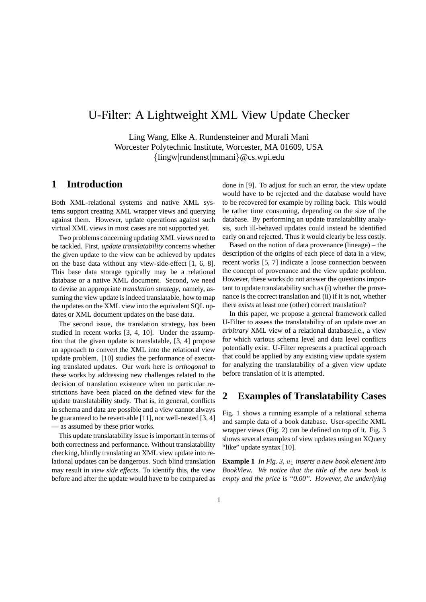# U-Filter: A Lightweight XML View Update Checker

Ling Wang, Elke A. Rundensteiner and Murali Mani Worcester Polytechnic Institute, Worcester, MA 01609, USA {lingw|rundenst|mmani}@cs.wpi.edu

## **1 Introduction**

Both XML-relational systems and native XML systems support creating XML wrapper views and querying against them. However, update operations against such virtual XML views in most cases are not supported yet.

Two problems concerning updating XML views need to be tackled. First, *update translatability* concerns whether the given update to the view can be achieved by updates on the base data without any view-side-effect [1, 6, 8]. This base data storage typically may be a relational database or a native XML document. Second, we need to devise an appropriate *translation strategy*, namely, assuming the view update is indeed translatable, how to map the updates on the XML view into the equivalent SQL updates or XML document updates on the base data.

The second issue, the translation strategy, has been studied in recent works [3, 4, 10]. Under the assumption that the given update is translatable, [3, 4] propose an approach to convert the XML into the relational view update problem. [10] studies the performance of executing translated updates. Our work here is *orthogonal* to these works by addressing new challenges related to the decision of translation existence when no particular restrictions have been placed on the defined view for the update translatability study. That is, in general, conflicts in schema and data are possible and a view cannot always be guaranteed to be revert-able [11], nor well-nested [3, 4] — as assumed by these prior works.

This update translatability issue is important in terms of both correctness and performance. Without translatability checking, blindly translating an XML view update into relational updates can be dangerous. Such blind translation may result in *view side effects*. To identify this, the view before and after the update would have to be compared as done in [9]. To adjust for such an error, the view update would have to be rejected and the database would have to be recovered for example by rolling back. This would be rather time consuming, depending on the size of the database. By performing an update translatability analysis, such ill-behaved updates could instead be identified early on and rejected. Thus it would clearly be less costly.

Based on the notion of data provenance (lineage) – the description of the origins of each piece of data in a view, recent works [5, 7] indicate a loose connection between the concept of provenance and the view update problem. However, these works do not answer the questions important to update translatability such as (i) whether the provenance is the correct translation and (ii) if it is not, whether there *exists* at least one (other) correct translation?

In this paper, we propose a general framework called U-Filter to assess the translatability of an update over an *arbitrary* XML view of a relational database,i.e., a view for which various schema level and data level conflicts potentially exist. U-Filter represents a practical approach that could be applied by any existing view update system for analyzing the translatability of a given view update before translation of it is attempted.

### **2 Examples of Translatability Cases**

Fig. 1 shows a running example of a relational schema and sample data of a book database. User-specific XML wrapper views (Fig. 2) can be defined on top of it. Fig. 3 shows several examples of view updates using an XQuery "like" update syntax [10].

**Example 1** *In Fig. 3, u<sub>1</sub> inserts a new book element into BookView. We notice that the title of the new book is empty and the price is "0.00". However, the underlying*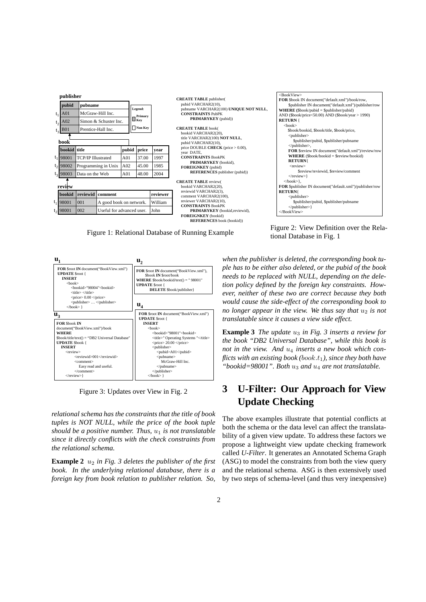

Figure 1: Relational Database of Running Example



Figure 3: Updates over View in Fig. 2

*relational schema has the constraints that the title of book tuples is NOT NULL, while the price of the book tuple should be a positive number. Thus,*  $u_1$  *is not translatable since it directly conflicts with the check constraints from the relational schema.*

**Example 2**  $u_2$  *in Fig. 3 deletes the publisher of the first book. In the underlying relational database, there is a foreign key from book relation to publisher relation. So,*

Figure 2: View Definition over the Relational Database in Fig. 1

*when the publisher is deleted, the corresponding book tuple has to be either also deleted, or the pubid of the book needs to be replaced with NULL, depending on the deletion policy defined by the foreign key constraints. However, neither of these two are correct because they both would cause the side-effect of the corresponding book to no longer appear in the view. We thus say that*  $u_2$  *is not translatable since it causes a view side effect.*

**Example 3** *The update*  $u_3$  *in Fig. 3 inserts a review for the book "DB2 Universal Database", while this book is* not in the view. And  $u_4$  inserts a new book which con*flicts with an existing book (book.t<sub>1</sub>), since they both have* "bookid=98001". Both u<sub>3</sub> and u<sub>4</sub> are not translatable.

# **3 U-Filter: Our Approach for View Update Checking**

The above examples illustrate that potential conflicts at both the schema or the data level can affect the translatability of a given view update. To address these factors we propose a lightweight view update checking framework called *U-Filter*. It generates an Annotated Schema Graph (ASG) to model the constraints from both the view query and the relational schema. ASG is then extensively used by two steps of schema-level (and thus very inexpensive)